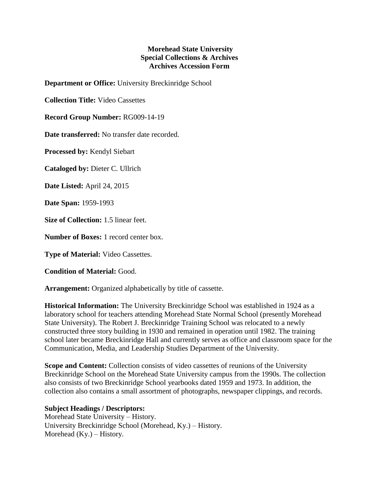## **Morehead State University Special Collections & Archives Archives Accession Form**

**Department or Office:** University Breckinridge School

**Collection Title:** Video Cassettes

**Record Group Number:** RG009-14-19

**Date transferred:** No transfer date recorded.

**Processed by:** Kendyl Siebart

**Cataloged by:** Dieter C. Ullrich

**Date Listed:** April 24, 2015

**Date Span:** 1959-1993

**Size of Collection:** 1.5 linear feet.

**Number of Boxes:** 1 record center box.

**Type of Material:** Video Cassettes.

**Condition of Material:** Good.

**Arrangement:** Organized alphabetically by title of cassette.

**Historical Information:** The University Breckinridge School was established in 1924 as a laboratory school for teachers attending Morehead State Normal School (presently Morehead State University). The Robert J. Breckinridge Training School was relocated to a newly constructed three story building in 1930 and remained in operation until 1982. The training school later became Breckinridge Hall and currently serves as office and classroom space for the Communication, Media, and Leadership Studies Department of the University.

**Scope and Content:** Collection consists of video cassettes of reunions of the University Breckinridge School on the Morehead State University campus from the 1990s. The collection also consists of two Breckinridge School yearbooks dated 1959 and 1973. In addition, the collection also contains a small assortment of photographs, newspaper clippings, and records.

## **Subject Headings / Descriptors:**

Morehead State University – History. University Breckinridge School (Morehead, Ky.) – History. Morehead  $(Ky)$  – History.